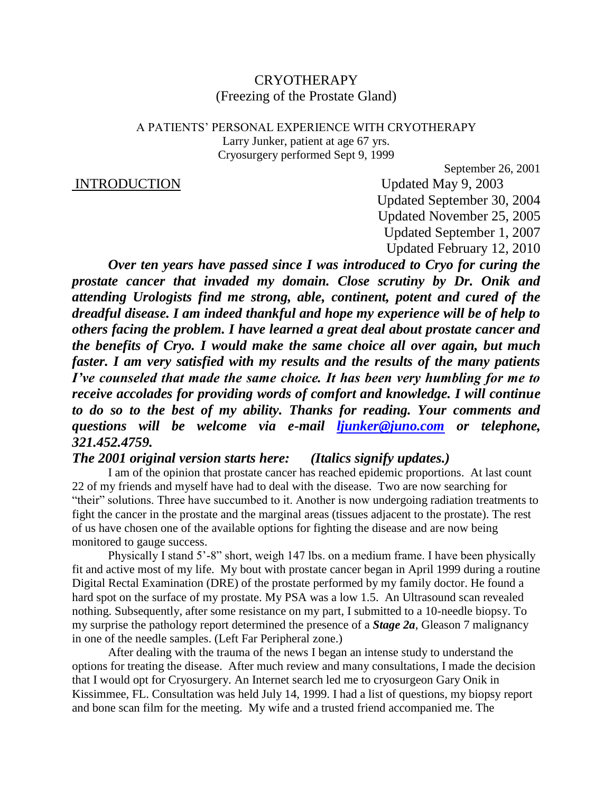# **CRYOTHERAPY** (Freezing of the Prostate Gland)

## A PATIENTS' PERSONAL EXPERIENCE WITH CRYOTHERAPY Larry Junker, patient at age 67 yrs. Cryosurgery performed Sept 9, 1999

## INTRODUCTION Updated May 9, 2003

September 26, 2001

Updated September 30, 2004 Updated November 25, 2005 Updated September 1, 2007 Updated February 12, 2010

*Over ten years have passed since I was introduced to Cryo for curing the prostate cancer that invaded my domain. Close scrutiny by Dr. Onik and attending Urologists find me strong, able, continent, potent and cured of the dreadful disease. I am indeed thankful and hope my experience will be of help to others facing the problem. I have learned a great deal about prostate cancer and the benefits of Cryo. I would make the same choice all over again, but much faster. I am very satisfied with my results and the results of the many patients I've counseled that made the same choice. It has been very humbling for me to receive accolades for providing words of comfort and knowledge. I will continue to do so to the best of my ability. Thanks for reading. Your comments and questions will be welcome via e-mail [ljunker@juno.com](mailto:ljunker@juno.com) or telephone, 321.452.4759.*

## *The 2001 original version starts here: (Italics signify updates.)*

I am of the opinion that prostate cancer has reached epidemic proportions. At last count 22 of my friends and myself have had to deal with the disease. Two are now searching for "their" solutions. Three have succumbed to it. Another is now undergoing radiation treatments to fight the cancer in the prostate and the marginal areas (tissues adjacent to the prostate). The rest of us have chosen one of the available options for fighting the disease and are now being monitored to gauge success.

Physically I stand 5'-8" short, weigh 147 lbs. on a medium frame. I have been physically fit and active most of my life. My bout with prostate cancer began in April 1999 during a routine Digital Rectal Examination (DRE) of the prostate performed by my family doctor. He found a hard spot on the surface of my prostate. My PSA was a low 1.5. An Ultrasound scan revealed nothing. Subsequently, after some resistance on my part, I submitted to a 10-needle biopsy. To my surprise the pathology report determined the presence of a *Stage 2a*, Gleason 7 malignancy in one of the needle samples. (Left Far Peripheral zone.)

After dealing with the trauma of the news I began an intense study to understand the options for treating the disease. After much review and many consultations, I made the decision that I would opt for Cryosurgery. An Internet search led me to cryosurgeon Gary Onik in Kissimmee, FL. Consultation was held July 14, 1999. I had a list of questions, my biopsy report and bone scan film for the meeting. My wife and a trusted friend accompanied me. The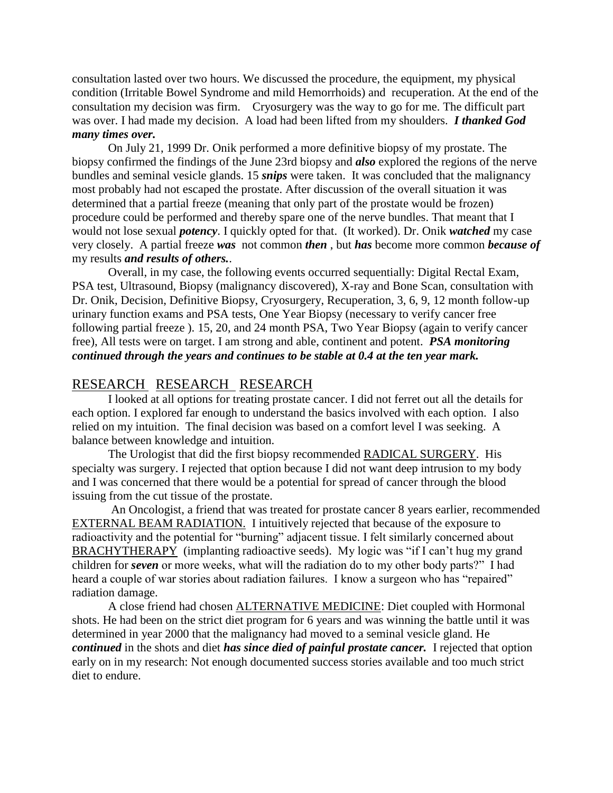consultation lasted over two hours. We discussed the procedure, the equipment, my physical condition (Irritable Bowel Syndrome and mild Hemorrhoids) and recuperation. At the end of the consultation my decision was firm. Cryosurgery was the way to go for me. The difficult part was over. I had made my decision. A load had been lifted from my shoulders. *I thanked God many times over.*

On July 21, 1999 Dr. Onik performed a more definitive biopsy of my prostate. The biopsy confirmed the findings of the June 23rd biopsy and *also* explored the regions of the nerve bundles and seminal vesicle glands. 15 *snips* were taken. It was concluded that the malignancy most probably had not escaped the prostate. After discussion of the overall situation it was determined that a partial freeze (meaning that only part of the prostate would be frozen) procedure could be performed and thereby spare one of the nerve bundles. That meant that I would not lose sexual *potency*. I quickly opted for that. (It worked). Dr. Onik *watched* my case very closely. A partial freeze *was* not common *then* , but *has* become more common *because of*  my results *and results of others.*.

Overall, in my case, the following events occurred sequentially: Digital Rectal Exam, PSA test, Ultrasound, Biopsy (malignancy discovered), X-ray and Bone Scan, consultation with Dr. Onik, Decision, Definitive Biopsy, Cryosurgery, Recuperation, 3, 6, 9, 12 month follow-up urinary function exams and PSA tests, One Year Biopsy (necessary to verify cancer free following partial freeze ). 15, 20, and 24 month PSA, Two Year Biopsy (again to verify cancer free), All tests were on target. I am strong and able, continent and potent. *PSA monitoring continued through the years and continues to be stable at 0.4 at the ten year mark.*

# RESEARCH RESEARCH RESEARCH

I looked at all options for treating prostate cancer. I did not ferret out all the details for each option. I explored far enough to understand the basics involved with each option. I also relied on my intuition. The final decision was based on a comfort level I was seeking. A balance between knowledge and intuition.

The Urologist that did the first biopsy recommended RADICAL SURGERY. His specialty was surgery. I rejected that option because I did not want deep intrusion to my body and I was concerned that there would be a potential for spread of cancer through the blood issuing from the cut tissue of the prostate.

An Oncologist, a friend that was treated for prostate cancer 8 years earlier, recommended EXTERNAL BEAM RADIATION. I intuitively rejected that because of the exposure to radioactivity and the potential for "burning" adjacent tissue. I felt similarly concerned about BRACHYTHERAPY (implanting radioactive seeds). My logic was "if I can't hug my grand children for *seven* or more weeks, what will the radiation do to my other body parts?" I had heard a couple of war stories about radiation failures. I know a surgeon who has "repaired" radiation damage.

A close friend had chosen ALTERNATIVE MEDICINE: Diet coupled with Hormonal shots. He had been on the strict diet program for 6 years and was winning the battle until it was determined in year 2000 that the malignancy had moved to a seminal vesicle gland. He *continued* in the shots and diet *has since died of painful prostate cancer.* I rejected that option early on in my research: Not enough documented success stories available and too much strict diet to endure.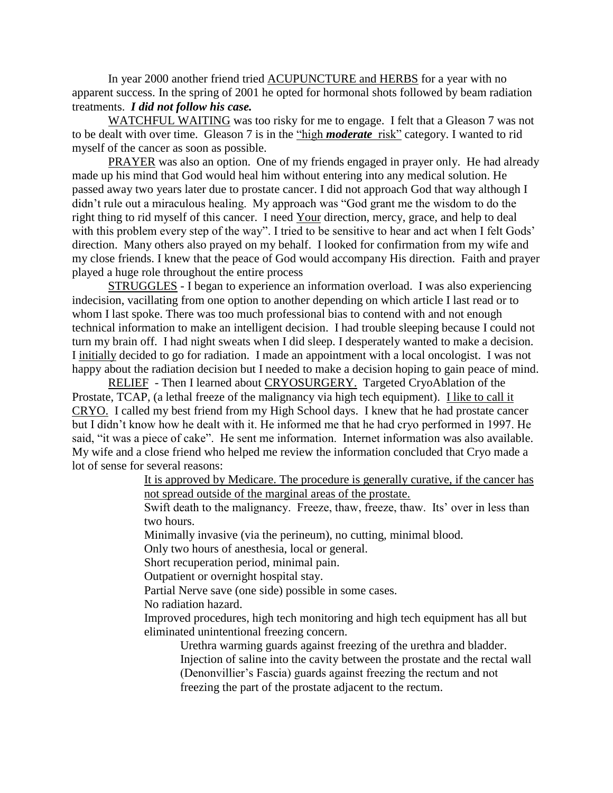In year 2000 another friend tried ACUPUNCTURE and HERBS for a year with no apparent success. In the spring of 2001 he opted for hormonal shots followed by beam radiation treatments. *I did not follow his case.*

WATCHFUL WAITING was too risky for me to engage. I felt that a Gleason 7 was not to be dealt with over time. Gleason 7 is in the "high *moderate* risk" category. I wanted to rid myself of the cancer as soon as possible.

PRAYER was also an option. One of my friends engaged in prayer only. He had already made up his mind that God would heal him without entering into any medical solution. He passed away two years later due to prostate cancer. I did not approach God that way although I didn't rule out a miraculous healing. My approach was "God grant me the wisdom to do the right thing to rid myself of this cancer. I need Your direction, mercy, grace, and help to deal with this problem every step of the way". I tried to be sensitive to hear and act when I felt Gods' direction. Many others also prayed on my behalf. I looked for confirmation from my wife and my close friends. I knew that the peace of God would accompany His direction. Faith and prayer played a huge role throughout the entire process

STRUGGLES - I began to experience an information overload. I was also experiencing indecision, vacillating from one option to another depending on which article I last read or to whom I last spoke. There was too much professional bias to contend with and not enough technical information to make an intelligent decision. I had trouble sleeping because I could not turn my brain off. I had night sweats when I did sleep. I desperately wanted to make a decision. I initially decided to go for radiation. I made an appointment with a local oncologist. I was not happy about the radiation decision but I needed to make a decision hoping to gain peace of mind.

RELIEF - Then I learned about CRYOSURGERY. Targeted CryoAblation of the Prostate, TCAP, (a lethal freeze of the malignancy via high tech equipment). I like to call it CRYO. I called my best friend from my High School days. I knew that he had prostate cancer but I didn't know how he dealt with it. He informed me that he had cryo performed in 1997. He said, "it was a piece of cake". He sent me information. Internet information was also available. My wife and a close friend who helped me review the information concluded that Cryo made a lot of sense for several reasons:

> It is approved by Medicare. The procedure is generally curative, if the cancer has not spread outside of the marginal areas of the prostate.

Swift death to the malignancy. Freeze, thaw, freeze, thaw. Its' over in less than two hours.

Minimally invasive (via the perineum), no cutting, minimal blood.

Only two hours of anesthesia, local or general.

Short recuperation period, minimal pain.

Outpatient or overnight hospital stay.

Partial Nerve save (one side) possible in some cases.

No radiation hazard.

Improved procedures, high tech monitoring and high tech equipment has all but eliminated unintentional freezing concern.

Urethra warming guards against freezing of the urethra and bladder. Injection of saline into the cavity between the prostate and the rectal wall (Denonvillier's Fascia) guards against freezing the rectum and not freezing the part of the prostate adjacent to the rectum.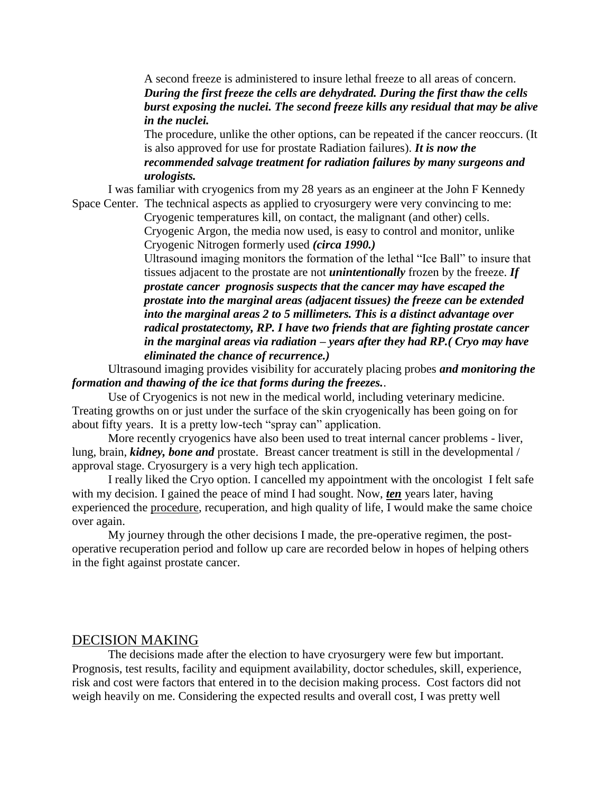A second freeze is administered to insure lethal freeze to all areas of concern. *During the first freeze the cells are dehydrated. During the first thaw the cells burst exposing the nuclei. The second freeze kills any residual that may be alive in the nuclei.* 

The procedure, unlike the other options, can be repeated if the cancer reoccurs. (It is also approved for use for prostate Radiation failures). *It is now the recommended salvage treatment for radiation failures by many surgeons and urologists.*

I was familiar with cryogenics from my 28 years as an engineer at the John F Kennedy Space Center. The technical aspects as applied to cryosurgery were very convincing to me:

Cryogenic temperatures kill, on contact, the malignant (and other) cells. Cryogenic Argon, the media now used, is easy to control and monitor, unlike Cryogenic Nitrogen formerly used *(circa 1990.)*

Ultrasound imaging monitors the formation of the lethal "Ice Ball" to insure that tissues adjacent to the prostate are not *unintentionally* frozen by the freeze. *If prostate cancer prognosis suspects that the cancer may have escaped the prostate into the marginal areas (adjacent tissues) the freeze can be extended into the marginal areas 2 to 5 millimeters. This is a distinct advantage over radical prostatectomy, RP. I have two friends that are fighting prostate cancer in the marginal areas via radiation – years after they had RP.( Cryo may have eliminated the chance of recurrence.)*

Ultrasound imaging provides visibility for accurately placing probes *and monitoring the formation and thawing of the ice that forms during the freezes.*.

Use of Cryogenics is not new in the medical world, including veterinary medicine. Treating growths on or just under the surface of the skin cryogenically has been going on for about fifty years. It is a pretty low-tech "spray can" application.

More recently cryogenics have also been used to treat internal cancer problems - liver, lung, brain, *kidney, bone and* prostate. Breast cancer treatment is still in the developmental / approval stage. Cryosurgery is a very high tech application.

I really liked the Cryo option. I cancelled my appointment with the oncologist I felt safe with my decision. I gained the peace of mind I had sought. Now, *ten* years later, having experienced the procedure, recuperation, and high quality of life, I would make the same choice over again.

My journey through the other decisions I made, the pre-operative regimen, the postoperative recuperation period and follow up care are recorded below in hopes of helping others in the fight against prostate cancer.

## DECISION MAKING

The decisions made after the election to have cryosurgery were few but important. Prognosis, test results, facility and equipment availability, doctor schedules, skill, experience, risk and cost were factors that entered in to the decision making process. Cost factors did not weigh heavily on me. Considering the expected results and overall cost, I was pretty well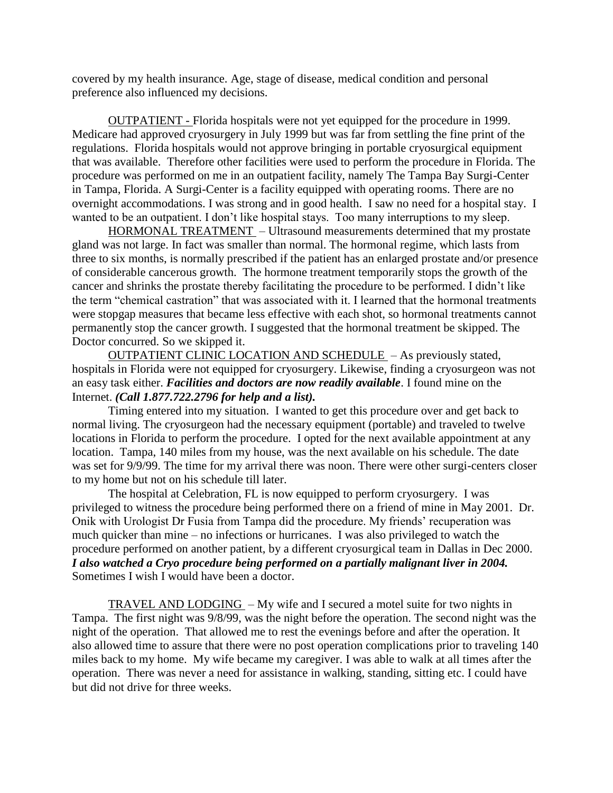covered by my health insurance. Age, stage of disease, medical condition and personal preference also influenced my decisions.

OUTPATIENT - Florida hospitals were not yet equipped for the procedure in 1999. Medicare had approved cryosurgery in July 1999 but was far from settling the fine print of the regulations. Florida hospitals would not approve bringing in portable cryosurgical equipment that was available. Therefore other facilities were used to perform the procedure in Florida. The procedure was performed on me in an outpatient facility, namely The Tampa Bay Surgi-Center in Tampa, Florida. A Surgi-Center is a facility equipped with operating rooms. There are no overnight accommodations. I was strong and in good health. I saw no need for a hospital stay. I wanted to be an outpatient. I don't like hospital stays. Too many interruptions to my sleep.

HORMONAL TREATMENT – Ultrasound measurements determined that my prostate gland was not large. In fact was smaller than normal. The hormonal regime, which lasts from three to six months, is normally prescribed if the patient has an enlarged prostate and/or presence of considerable cancerous growth. The hormone treatment temporarily stops the growth of the cancer and shrinks the prostate thereby facilitating the procedure to be performed. I didn't like the term "chemical castration" that was associated with it. I learned that the hormonal treatments were stopgap measures that became less effective with each shot, so hormonal treatments cannot permanently stop the cancer growth. I suggested that the hormonal treatment be skipped. The Doctor concurred. So we skipped it.

OUTPATIENT CLINIC LOCATION AND SCHEDULE – As previously stated, hospitals in Florida were not equipped for cryosurgery. Likewise, finding a cryosurgeon was not an easy task either. *Facilities and doctors are now readily available*. I found mine on the Internet. *(Call 1.877.722.2796 for help and a list).* 

Timing entered into my situation. I wanted to get this procedure over and get back to normal living. The cryosurgeon had the necessary equipment (portable) and traveled to twelve locations in Florida to perform the procedure. I opted for the next available appointment at any location. Tampa, 140 miles from my house, was the next available on his schedule. The date was set for 9/9/99. The time for my arrival there was noon. There were other surgi-centers closer to my home but not on his schedule till later.

The hospital at Celebration, FL is now equipped to perform cryosurgery. I was privileged to witness the procedure being performed there on a friend of mine in May 2001. Dr. Onik with Urologist Dr Fusia from Tampa did the procedure. My friends' recuperation was much quicker than mine – no infections or hurricanes. I was also privileged to watch the procedure performed on another patient, by a different cryosurgical team in Dallas in Dec 2000. *I also watched a Cryo procedure being performed on a partially malignant liver in 2004.*  Sometimes I wish I would have been a doctor.

TRAVEL AND LODGING – My wife and I secured a motel suite for two nights in Tampa. The first night was 9/8/99, was the night before the operation. The second night was the night of the operation. That allowed me to rest the evenings before and after the operation. It also allowed time to assure that there were no post operation complications prior to traveling 140 miles back to my home. My wife became my caregiver. I was able to walk at all times after the operation. There was never a need for assistance in walking, standing, sitting etc. I could have but did not drive for three weeks.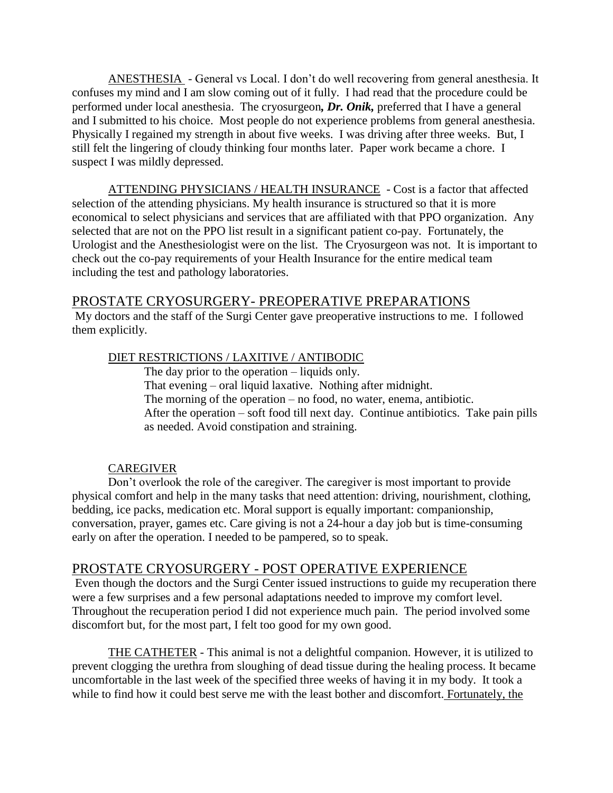ANESTHESIA - General vs Local. I don't do well recovering from general anesthesia. It confuses my mind and I am slow coming out of it fully. I had read that the procedure could be performed under local anesthesia. The cryosurgeon*, Dr. Onik,* preferred that I have a general and I submitted to his choice. Most people do not experience problems from general anesthesia. Physically I regained my strength in about five weeks. I was driving after three weeks. But, I still felt the lingering of cloudy thinking four months later. Paper work became a chore. I suspect I was mildly depressed.

ATTENDING PHYSICIANS / HEALTH INSURANCE - Cost is a factor that affected selection of the attending physicians. My health insurance is structured so that it is more economical to select physicians and services that are affiliated with that PPO organization. Any selected that are not on the PPO list result in a significant patient co-pay. Fortunately, the Urologist and the Anesthesiologist were on the list. The Cryosurgeon was not. It is important to check out the co-pay requirements of your Health Insurance for the entire medical team including the test and pathology laboratories.

## PROSTATE CRYOSURGERY- PREOPERATIVE PREPARATIONS

My doctors and the staff of the Surgi Center gave preoperative instructions to me. I followed them explicitly.

## DIET RESTRICTIONS / LAXITIVE / ANTIBODIC

The day prior to the operation – liquids only. That evening – oral liquid laxative. Nothing after midnight. The morning of the operation – no food, no water, enema, antibiotic. After the operation – soft food till next day. Continue antibiotics. Take pain pills as needed. Avoid constipation and straining.

## CAREGIVER

Don't overlook the role of the caregiver. The caregiver is most important to provide physical comfort and help in the many tasks that need attention: driving, nourishment, clothing, bedding, ice packs, medication etc. Moral support is equally important: companionship, conversation, prayer, games etc. Care giving is not a 24-hour a day job but is time-consuming early on after the operation. I needed to be pampered, so to speak.

# PROSTATE CRYOSURGERY - POST OPERATIVE EXPERIENCE

Even though the doctors and the Surgi Center issued instructions to guide my recuperation there were a few surprises and a few personal adaptations needed to improve my comfort level. Throughout the recuperation period I did not experience much pain. The period involved some discomfort but, for the most part, I felt too good for my own good.

THE CATHETER - This animal is not a delightful companion. However, it is utilized to prevent clogging the urethra from sloughing of dead tissue during the healing process. It became uncomfortable in the last week of the specified three weeks of having it in my body. It took a while to find how it could best serve me with the least bother and discomfort. Fortunately, the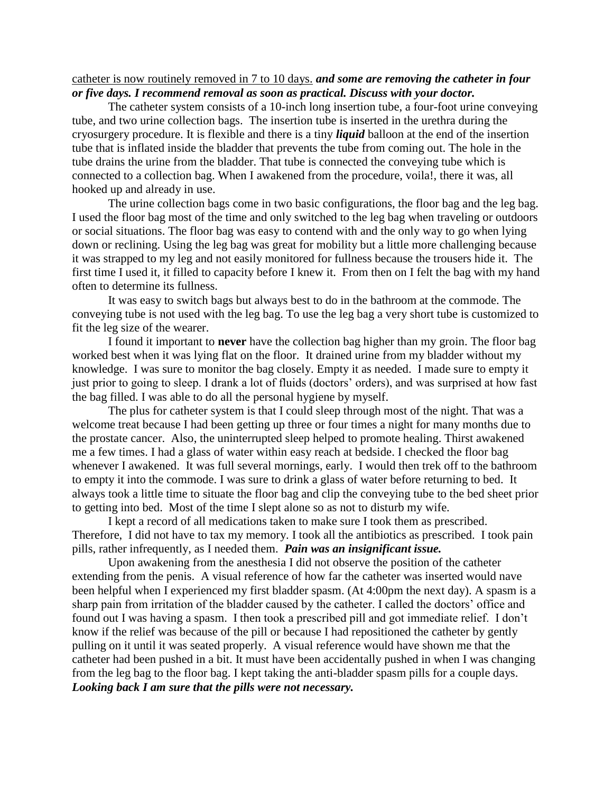## catheter is now routinely removed in 7 to 10 days. *and some are removing the catheter in four or five days. I recommend removal as soon as practical. Discuss with your doctor.*

The catheter system consists of a 10-inch long insertion tube, a four-foot urine conveying tube, and two urine collection bags. The insertion tube is inserted in the urethra during the cryosurgery procedure. It is flexible and there is a tiny *liquid* balloon at the end of the insertion tube that is inflated inside the bladder that prevents the tube from coming out. The hole in the tube drains the urine from the bladder. That tube is connected the conveying tube which is connected to a collection bag. When I awakened from the procedure, voila!, there it was, all hooked up and already in use.

The urine collection bags come in two basic configurations, the floor bag and the leg bag. I used the floor bag most of the time and only switched to the leg bag when traveling or outdoors or social situations. The floor bag was easy to contend with and the only way to go when lying down or reclining. Using the leg bag was great for mobility but a little more challenging because it was strapped to my leg and not easily monitored for fullness because the trousers hide it. The first time I used it, it filled to capacity before I knew it. From then on I felt the bag with my hand often to determine its fullness.

It was easy to switch bags but always best to do in the bathroom at the commode. The conveying tube is not used with the leg bag. To use the leg bag a very short tube is customized to fit the leg size of the wearer.

I found it important to **never** have the collection bag higher than my groin. The floor bag worked best when it was lying flat on the floor. It drained urine from my bladder without my knowledge. I was sure to monitor the bag closely. Empty it as needed. I made sure to empty it just prior to going to sleep. I drank a lot of fluids (doctors' orders), and was surprised at how fast the bag filled. I was able to do all the personal hygiene by myself.

The plus for catheter system is that I could sleep through most of the night. That was a welcome treat because I had been getting up three or four times a night for many months due to the prostate cancer. Also, the uninterrupted sleep helped to promote healing. Thirst awakened me a few times. I had a glass of water within easy reach at bedside. I checked the floor bag whenever I awakened. It was full several mornings, early. I would then trek off to the bathroom to empty it into the commode. I was sure to drink a glass of water before returning to bed. It always took a little time to situate the floor bag and clip the conveying tube to the bed sheet prior to getting into bed. Most of the time I slept alone so as not to disturb my wife.

I kept a record of all medications taken to make sure I took them as prescribed. Therefore, I did not have to tax my memory. I took all the antibiotics as prescribed. I took pain pills, rather infrequently, as I needed them. *Pain was an insignificant issue.*

Upon awakening from the anesthesia I did not observe the position of the catheter extending from the penis. A visual reference of how far the catheter was inserted would nave been helpful when I experienced my first bladder spasm. (At 4:00pm the next day). A spasm is a sharp pain from irritation of the bladder caused by the catheter. I called the doctors' office and found out I was having a spasm. I then took a prescribed pill and got immediate relief. I don't know if the relief was because of the pill or because I had repositioned the catheter by gently pulling on it until it was seated properly. A visual reference would have shown me that the catheter had been pushed in a bit. It must have been accidentally pushed in when I was changing from the leg bag to the floor bag. I kept taking the anti-bladder spasm pills for a couple days. *Looking back I am sure that the pills were not necessary.*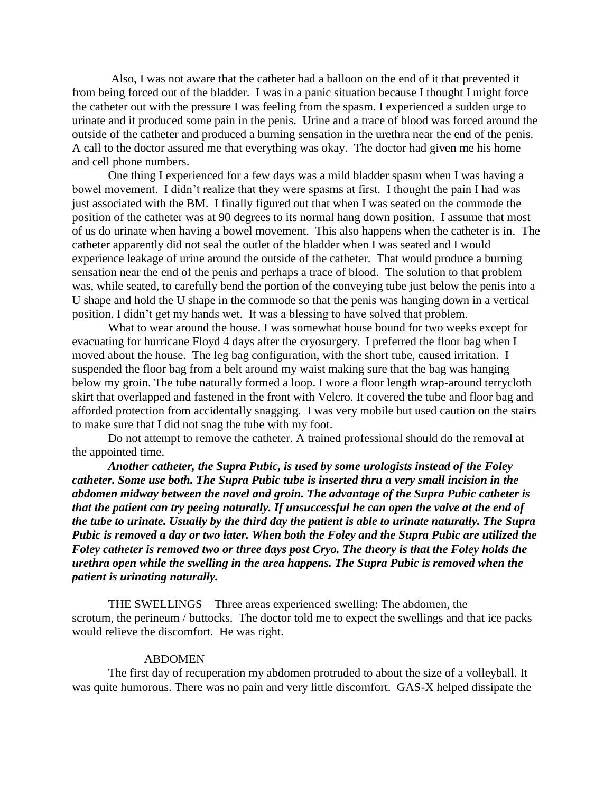Also, I was not aware that the catheter had a balloon on the end of it that prevented it from being forced out of the bladder. I was in a panic situation because I thought I might force the catheter out with the pressure I was feeling from the spasm. I experienced a sudden urge to urinate and it produced some pain in the penis. Urine and a trace of blood was forced around the outside of the catheter and produced a burning sensation in the urethra near the end of the penis. A call to the doctor assured me that everything was okay. The doctor had given me his home and cell phone numbers.

One thing I experienced for a few days was a mild bladder spasm when I was having a bowel movement. I didn't realize that they were spasms at first. I thought the pain I had was just associated with the BM. I finally figured out that when I was seated on the commode the position of the catheter was at 90 degrees to its normal hang down position. I assume that most of us do urinate when having a bowel movement. This also happens when the catheter is in. The catheter apparently did not seal the outlet of the bladder when I was seated and I would experience leakage of urine around the outside of the catheter. That would produce a burning sensation near the end of the penis and perhaps a trace of blood. The solution to that problem was, while seated, to carefully bend the portion of the conveying tube just below the penis into a U shape and hold the U shape in the commode so that the penis was hanging down in a vertical position. I didn't get my hands wet. It was a blessing to have solved that problem.

What to wear around the house. I was somewhat house bound for two weeks except for evacuating for hurricane Floyd 4 days after the cryosurgery. I preferred the floor bag when I moved about the house. The leg bag configuration, with the short tube, caused irritation. I suspended the floor bag from a belt around my waist making sure that the bag was hanging below my groin. The tube naturally formed a loop. I wore a floor length wrap-around terrycloth skirt that overlapped and fastened in the front with Velcro. It covered the tube and floor bag and afforded protection from accidentally snagging. I was very mobile but used caution on the stairs to make sure that I did not snag the tube with my foot.

Do not attempt to remove the catheter. A trained professional should do the removal at the appointed time.

*Another catheter, the Supra Pubic, is used by some urologists instead of the Foley catheter. Some use both. The Supra Pubic tube is inserted thru a very small incision in the abdomen midway between the navel and groin. The advantage of the Supra Pubic catheter is that the patient can try peeing naturally. If unsuccessful he can open the valve at the end of the tube to urinate. Usually by the third day the patient is able to urinate naturally. The Supra Pubic is removed a day or two later. When both the Foley and the Supra Pubic are utilized the Foley catheter is removed two or three days post Cryo. The theory is that the Foley holds the urethra open while the swelling in the area happens. The Supra Pubic is removed when the patient is urinating naturally.*

THE SWELLINGS – Three areas experienced swelling: The abdomen, the scrotum, the perineum / buttocks. The doctor told me to expect the swellings and that ice packs would relieve the discomfort. He was right.

#### ABDOMEN

The first day of recuperation my abdomen protruded to about the size of a volleyball. It was quite humorous. There was no pain and very little discomfort. GAS-X helped dissipate the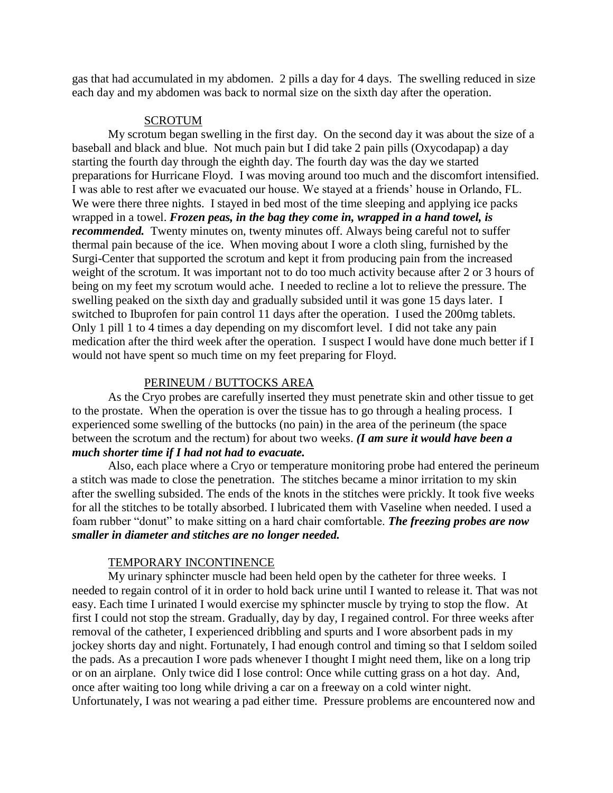gas that had accumulated in my abdomen. 2 pills a day for 4 days. The swelling reduced in size each day and my abdomen was back to normal size on the sixth day after the operation.

## **SCROTUM**

My scrotum began swelling in the first day. On the second day it was about the size of a baseball and black and blue. Not much pain but I did take 2 pain pills (Oxycodapap) a day starting the fourth day through the eighth day. The fourth day was the day we started preparations for Hurricane Floyd. I was moving around too much and the discomfort intensified. I was able to rest after we evacuated our house. We stayed at a friends' house in Orlando, FL. We were there three nights. I stayed in bed most of the time sleeping and applying ice packs wrapped in a towel. *Frozen peas, in the bag they come in, wrapped in a hand towel, is recommended.* Twenty minutes on, twenty minutes off. Always being careful not to suffer thermal pain because of the ice. When moving about I wore a cloth sling, furnished by the Surgi-Center that supported the scrotum and kept it from producing pain from the increased weight of the scrotum. It was important not to do too much activity because after 2 or 3 hours of being on my feet my scrotum would ache. I needed to recline a lot to relieve the pressure. The swelling peaked on the sixth day and gradually subsided until it was gone 15 days later. I switched to Ibuprofen for pain control 11 days after the operation. I used the 200mg tablets. Only 1 pill 1 to 4 times a day depending on my discomfort level. I did not take any pain medication after the third week after the operation. I suspect I would have done much better if I would not have spent so much time on my feet preparing for Floyd.

### PERINEUM / BUTTOCKS AREA

As the Cryo probes are carefully inserted they must penetrate skin and other tissue to get to the prostate. When the operation is over the tissue has to go through a healing process. I experienced some swelling of the buttocks (no pain) in the area of the perineum (the space between the scrotum and the rectum) for about two weeks. *(I am sure it would have been a much shorter time if I had not had to evacuate.*

Also, each place where a Cryo or temperature monitoring probe had entered the perineum a stitch was made to close the penetration. The stitches became a minor irritation to my skin after the swelling subsided. The ends of the knots in the stitches were prickly. It took five weeks for all the stitches to be totally absorbed. I lubricated them with Vaseline when needed. I used a foam rubber "donut" to make sitting on a hard chair comfortable. *The freezing probes are now smaller in diameter and stitches are no longer needed.* 

#### TEMPORARY INCONTINENCE

My urinary sphincter muscle had been held open by the catheter for three weeks. I needed to regain control of it in order to hold back urine until I wanted to release it. That was not easy. Each time I urinated I would exercise my sphincter muscle by trying to stop the flow. At first I could not stop the stream. Gradually, day by day, I regained control. For three weeks after removal of the catheter, I experienced dribbling and spurts and I wore absorbent pads in my jockey shorts day and night. Fortunately, I had enough control and timing so that I seldom soiled the pads. As a precaution I wore pads whenever I thought I might need them, like on a long trip or on an airplane. Only twice did I lose control: Once while cutting grass on a hot day. And, once after waiting too long while driving a car on a freeway on a cold winter night. Unfortunately, I was not wearing a pad either time. Pressure problems are encountered now and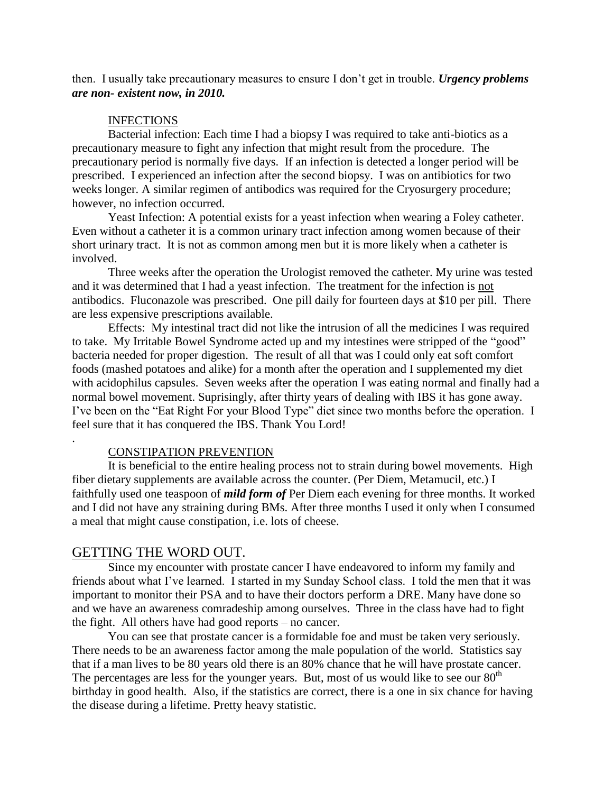then. I usually take precautionary measures to ensure I don't get in trouble. *Urgency problems are non- existent now, in 2010.*

#### INFECTIONS

Bacterial infection: Each time I had a biopsy I was required to take anti-biotics as a precautionary measure to fight any infection that might result from the procedure. The precautionary period is normally five days. If an infection is detected a longer period will be prescribed. I experienced an infection after the second biopsy. I was on antibiotics for two weeks longer. A similar regimen of antibodics was required for the Cryosurgery procedure; however, no infection occurred.

Yeast Infection: A potential exists for a yeast infection when wearing a Foley catheter. Even without a catheter it is a common urinary tract infection among women because of their short urinary tract. It is not as common among men but it is more likely when a catheter is involved.

Three weeks after the operation the Urologist removed the catheter. My urine was tested and it was determined that I had a yeast infection. The treatment for the infection is not antibodics. Fluconazole was prescribed. One pill daily for fourteen days at \$10 per pill. There are less expensive prescriptions available.

Effects: My intestinal tract did not like the intrusion of all the medicines I was required to take. My Irritable Bowel Syndrome acted up and my intestines were stripped of the "good" bacteria needed for proper digestion. The result of all that was I could only eat soft comfort foods (mashed potatoes and alike) for a month after the operation and I supplemented my diet with acidophilus capsules. Seven weeks after the operation I was eating normal and finally had a normal bowel movement. Suprisingly, after thirty years of dealing with IBS it has gone away. I've been on the "Eat Right For your Blood Type" diet since two months before the operation. I feel sure that it has conquered the IBS. Thank You Lord!

#### CONSTIPATION PREVENTION

It is beneficial to the entire healing process not to strain during bowel movements. High fiber dietary supplements are available across the counter. (Per Diem, Metamucil, etc.) I faithfully used one teaspoon of *mild form of* Per Diem each evening for three months. It worked and I did not have any straining during BMs. After three months I used it only when I consumed a meal that might cause constipation, i.e. lots of cheese.

## GETTING THE WORD OUT.

.

Since my encounter with prostate cancer I have endeavored to inform my family and friends about what I've learned. I started in my Sunday School class. I told the men that it was important to monitor their PSA and to have their doctors perform a DRE. Many have done so and we have an awareness comradeship among ourselves. Three in the class have had to fight the fight. All others have had good reports – no cancer.

You can see that prostate cancer is a formidable foe and must be taken very seriously. There needs to be an awareness factor among the male population of the world. Statistics say that if a man lives to be 80 years old there is an 80% chance that he will have prostate cancer. The percentages are less for the younger years. But, most of us would like to see our  $80<sup>th</sup>$ birthday in good health. Also, if the statistics are correct, there is a one in six chance for having the disease during a lifetime. Pretty heavy statistic.